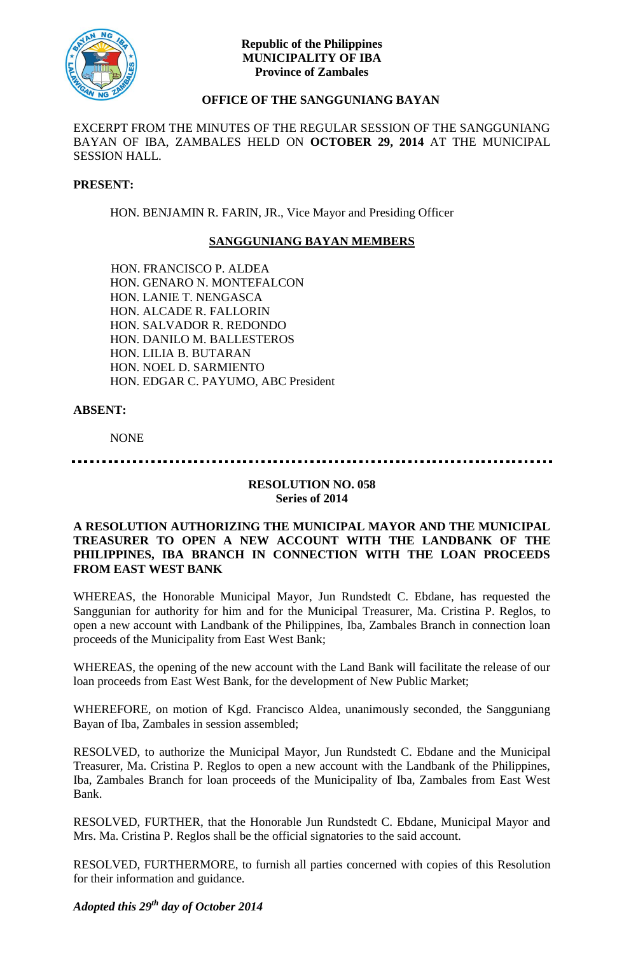

## **Republic of the Philippines MUNICIPALITY OF IBA Province of Zambales**

# **OFFICE OF THE SANGGUNIANG BAYAN**

EXCERPT FROM THE MINUTES OF THE REGULAR SESSION OF THE SANGGUNIANG BAYAN OF IBA, ZAMBALES HELD ON **OCTOBER 29, 2014** AT THE MUNICIPAL SESSION HALL.

#### **PRESENT:**

HON. BENJAMIN R. FARIN, JR., Vice Mayor and Presiding Officer

# **SANGGUNIANG BAYAN MEMBERS**

HON. FRANCISCO P. ALDEA HON. GENARO N. MONTEFALCON HON. LANIE T. NENGASCA HON. ALCADE R. FALLORIN HON. SALVADOR R. REDONDO HON. DANILO M. BALLESTEROS HON. LILIA B. BUTARAN HON. NOEL D. SARMIENTO HON. EDGAR C. PAYUMO, ABC President

## **ABSENT:**

NONE

## **RESOLUTION NO. 058 Series of 2014**

#### **A RESOLUTION AUTHORIZING THE MUNICIPAL MAYOR AND THE MUNICIPAL TREASURER TO OPEN A NEW ACCOUNT WITH THE LANDBANK OF THE PHILIPPINES, IBA BRANCH IN CONNECTION WITH THE LOAN PROCEEDS FROM EAST WEST BANK**

WHEREAS, the Honorable Municipal Mayor, Jun Rundstedt C. Ebdane, has requested the Sanggunian for authority for him and for the Municipal Treasurer, Ma. Cristina P. Reglos, to open a new account with Landbank of the Philippines, Iba, Zambales Branch in connection loan proceeds of the Municipality from East West Bank;

WHEREAS, the opening of the new account with the Land Bank will facilitate the release of our loan proceeds from East West Bank, for the development of New Public Market;

WHEREFORE, on motion of Kgd. Francisco Aldea, unanimously seconded, the Sangguniang Bayan of Iba, Zambales in session assembled;

RESOLVED, to authorize the Municipal Mayor, Jun Rundstedt C. Ebdane and the Municipal Treasurer, Ma. Cristina P. Reglos to open a new account with the Landbank of the Philippines, Iba, Zambales Branch for loan proceeds of the Municipality of Iba, Zambales from East West Bank.

RESOLVED, FURTHER, that the Honorable Jun Rundstedt C. Ebdane, Municipal Mayor and Mrs. Ma. Cristina P. Reglos shall be the official signatories to the said account.

RESOLVED, FURTHERMORE, to furnish all parties concerned with copies of this Resolution for their information and guidance.